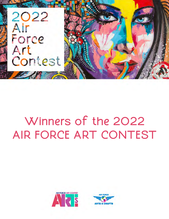

# Winners of the 2022 AIR FORCE ART CONTEST



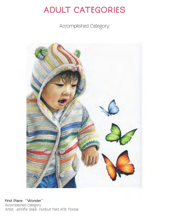Accomplished Category

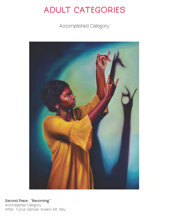Accomplished Category



Second Place: "Becoming" Accomplished Category Artist: Cyrus Samuel, Aviano AB, Italy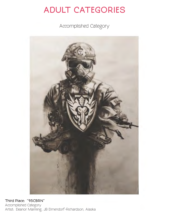Accomplished Category



Third Place: "95CBRN" Accomplished Category Artist: Eleanor Manning, JB Elmendorf-Richardson, Alaska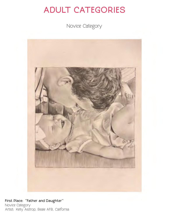Novice Category



First Place: "Father and Daughter" Novice Category Artist: Kelly Aistrop, Beale AFB, California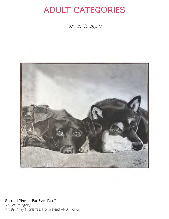Novice Category



Second Place: "For Ever Pals" Novice Category Artist: Amy Manjarres, Homestead ARB, Florida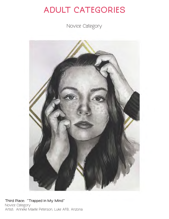Novice Category



Third Place: "Trapped in My Mind" Novice Category Artist: Anneke Maelle Peterson, Luke AFB, Arizona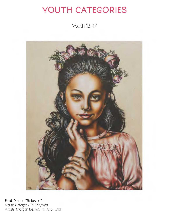Youth 13–17



First Place: "Beloved" Youth Category, 13-17 years Artist: Morgan Becker, Hill AFB, Utah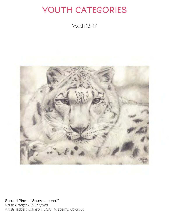Youth 13–17



Second Place: "Snow Leopard" Youth Category, 13-17 years Artist: Isabella Johnson, USAF Academy, Colorado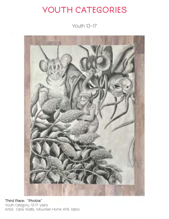Youth 13–17



Third Place: "Phobia" Youth Category, 13-17 years Artist: Carla Watts, Mountain Home AFB, Idaho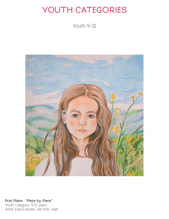Youth 9–12



First Place: "Piece by Piece" Youth Category, 9-12 years Artist: Eason Becker, Hill AFB, Utah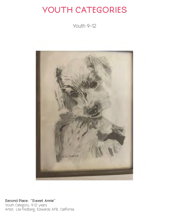Youth 9–12



Second Place: "Sweet Annie" Youth Category, 9-12 years Artist: Lila Fredberg, Edwards AFB, California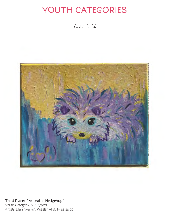Youth 9–12



Third Place: "Adorable Hedgehog" Youth Category, 9-12 years Artist: Ellah Walker, Keesler AFB, Mississippi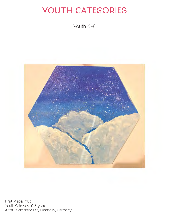Youth 6–8



First Place: "Up" Youth Category, 6-8 years Artist: Samantha Lee, Landstuhl, Germany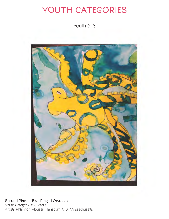Youth 6–8



Second Place: "Blue Ringed Octopus" Youth Category, 6-8 years Artist: Rhiannon Mouser, Hanscom AFB, Massachusetts